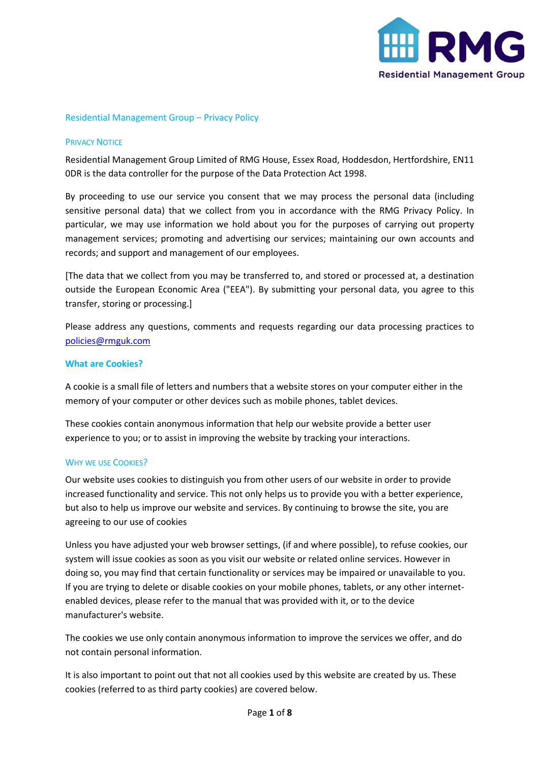

# Residential Management Group – Privacy Policy

## PRIVACY NOTICE

Residential Management Group Limited of RMG House, Essex Road, Hoddesdon, Hertfordshire, EN11 0DR is the data controller for the purpose of the Data Protection Act 1998.

By proceeding to use our service you consent that we may process the personal data (including sensitive personal data) that we collect from you in accordance with the RMG Privacy Policy. In particular, we may use information we hold about you for the purposes of carrying out property management services; promoting and advertising our services; maintaining our own accounts and records; and support and management of our employees.

[The data that we collect from you may be transferred to, and stored or processed at, a destination outside the European Economic Area ("EEA"). By submitting your personal data, you agree to this transfer, storing or processing.]

Please address any questions, comments and requests regarding our data processing practices to policies@rmguk.com

## **What are Cookies?**

A cookie is a small file of letters and numbers that a website stores on your computer either in the memory of your computer or other devices such as mobile phones, tablet devices.

These cookies contain anonymous information that help our website provide a better user experience to you; or to assist in improving the website by tracking your interactions.

### WHY WE USE COOKIES?

Our website uses cookies to distinguish you from other users of our website in order to provide increased functionality and service. This not only helps us to provide you with a better experience, but also to help us improve our website and services. By continuing to browse the site, you are agreeing to our use of cookies

Unless you have adjusted your web browser settings, (if and where possible), to refuse cookies, our system will issue cookies as soon as you visit our website or related online services. However in doing so, you may find that certain functionality or services may be impaired or unavailable to you. If you are trying to delete or disable cookies on your mobile phones, tablets, or any other internetenabled devices, please refer to the manual that was provided with it, or to the device manufacturer's website.

The cookies we use only contain anonymous information to improve the services we offer, and do not contain personal information.

It is also important to point out that not all cookies used by this website are created by us. These cookies (referred to as third party cookies) are covered below.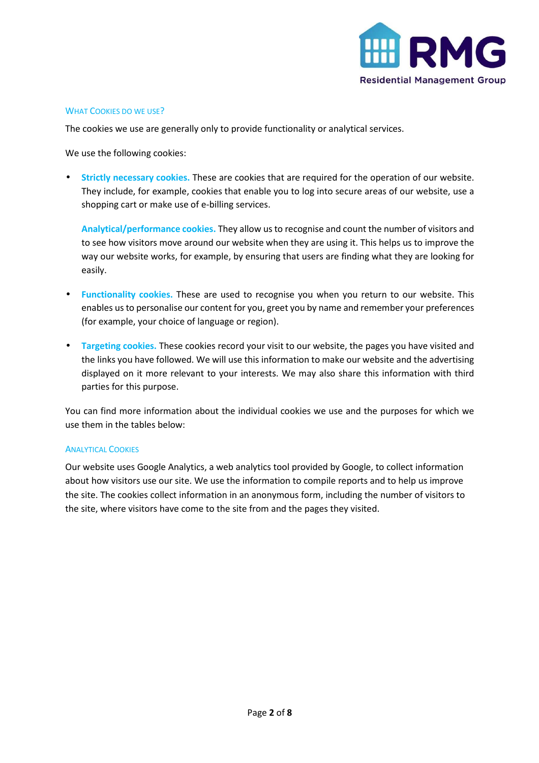

## WHAT COOKIES DO WE USE?

The cookies we use are generally only to provide functionality or analytical services.

We use the following cookies:

• **Strictly necessary cookies.** These are cookies that are required for the operation of our website. They include, for example, cookies that enable you to log into secure areas of our website, use a shopping cart or make use of e-billing services.

**Analytical/performance cookies.** They allow us to recognise and count the number of visitors and to see how visitors move around our website when they are using it. This helps us to improve the way our website works, for example, by ensuring that users are finding what they are looking for easily.

- **Functionality cookies.** These are used to recognise you when you return to our website. This enables us to personalise our content for you, greet you by name and remember your preferences (for example, your choice of language or region).
- **Targeting cookies.** These cookies record your visit to our website, the pages you have visited and the links you have followed. We will use this information to make our website and the advertising displayed on it more relevant to your interests. We may also share this information with third parties for this purpose.

You can find more information about the individual cookies we use and the purposes for which we use them in the tables below:

### ANALYTICAL COOKIES

Our website uses Google Analytics, a web analytics tool provided by Google, to collect information about how visitors use our site. We use the information to compile reports and to help us improve the site. The cookies collect information in an anonymous form, including the number of visitors to the site, where visitors have come to the site from and the pages they visited.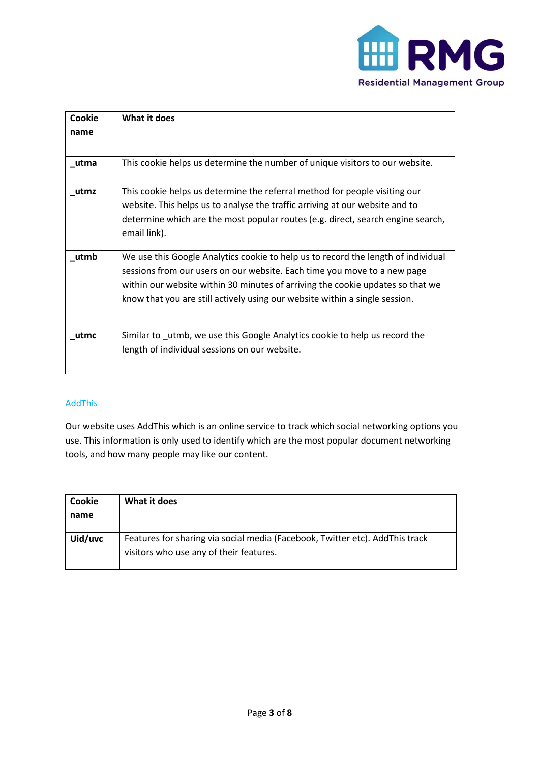

| Cookie | What it does                                                                      |
|--------|-----------------------------------------------------------------------------------|
| name   |                                                                                   |
|        |                                                                                   |
|        |                                                                                   |
| utma   | This cookie helps us determine the number of unique visitors to our website.      |
|        |                                                                                   |
| utmz   | This cookie helps us determine the referral method for people visiting our        |
|        | website. This helps us to analyse the traffic arriving at our website and to      |
|        | determine which are the most popular routes (e.g. direct, search engine search,   |
|        | email link).                                                                      |
|        |                                                                                   |
| utmb   | We use this Google Analytics cookie to help us to record the length of individual |
|        |                                                                                   |
|        | sessions from our users on our website. Each time you move to a new page          |
|        | within our website within 30 minutes of arriving the cookie updates so that we    |
|        | know that you are still actively using our website within a single session.       |
|        |                                                                                   |
|        |                                                                                   |
| utmc   | Similar to _utmb, we use this Google Analytics cookie to help us record the       |
|        | length of individual sessions on our website.                                     |
|        |                                                                                   |
|        |                                                                                   |

# AddThis

Our website uses AddThis which is an online service to track which social networking options you use. This information is only used to identify which are the most popular document networking tools, and how many people may like our content.

| Cookie<br>name | What it does                                                                                                            |
|----------------|-------------------------------------------------------------------------------------------------------------------------|
| Uid/uvc        | Features for sharing via social media (Facebook, Twitter etc). AddThis track<br>visitors who use any of their features. |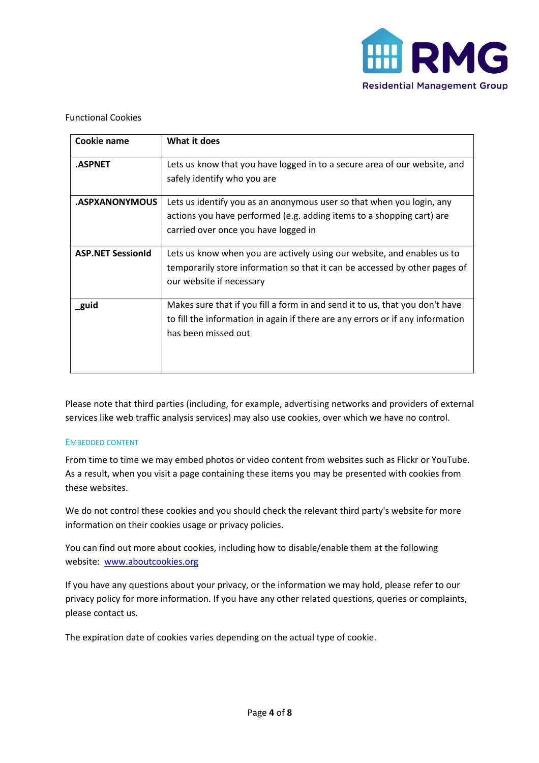

# Functional Cookies

| Cookie name              | What it does                                                                                                                                                                           |
|--------------------------|----------------------------------------------------------------------------------------------------------------------------------------------------------------------------------------|
| .ASPNET                  | Lets us know that you have logged in to a secure area of our website, and<br>safely identify who you are                                                                               |
| <b>ASPXANONYMOUS</b>     | Lets us identify you as an anonymous user so that when you login, any<br>actions you have performed (e.g. adding items to a shopping cart) are<br>carried over once you have logged in |
| <b>ASP.NET SessionId</b> | Lets us know when you are actively using our website, and enables us to<br>temporarily store information so that it can be accessed by other pages of<br>our website if necessary      |
| guid                     | Makes sure that if you fill a form in and send it to us, that you don't have<br>to fill the information in again if there are any errors or if any information<br>has been missed out  |

Please note that third parties (including, for example, advertising networks and providers of external services like web traffic analysis services) may also use cookies, over which we have no control.

# EMBEDDED CONTENT

From time to time we may embed photos or video content from websites such as Flickr or YouTube. As a result, when you visit a page containing these items you may be presented with cookies from these websites.

We do not control these cookies and you should check the relevant third party's website for more information on their cookies usage or privacy policies.

You can find out more about cookies, including how to disable/enable them at the following website: www.aboutcookies.org

If you have any questions about your privacy, or the information we may hold, please refer to our privacy policy for more information. If you have any other related questions, queries or complaints, please contact us.

The expiration date of cookies varies depending on the actual type of cookie.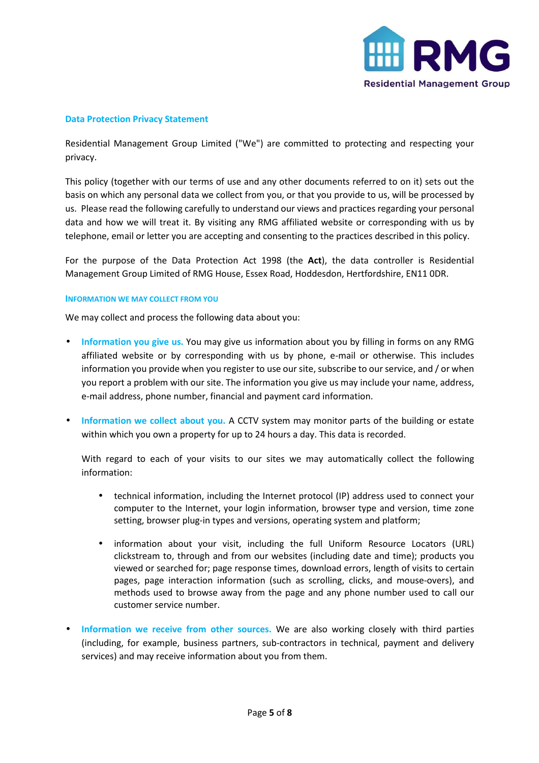

## **Data Protection Privacy Statement**

Residential Management Group Limited ("We") are committed to protecting and respecting your privacy.

This policy (together with our terms of use and any other documents referred to on it) sets out the basis on which any personal data we collect from you, or that you provide to us, will be processed by us. Please read the following carefully to understand our views and practices regarding your personal data and how we will treat it. By visiting any RMG affiliated website or corresponding with us by telephone, email or letter you are accepting and consenting to the practices described in this policy.

For the purpose of the Data Protection Act 1998 (the **Act**), the data controller is Residential Management Group Limited of RMG House, Essex Road, Hoddesdon, Hertfordshire, EN11 0DR.

### **INFORMATION WE MAY COLLECT FROM YOU**

We may collect and process the following data about you:

- **Information you give us.** You may give us information about you by filling in forms on any RMG affiliated website or by corresponding with us by phone, e-mail or otherwise. This includes information you provide when you register to use our site, subscribe to our service, and / or when you report a problem with our site. The information you give us may include your name, address, e-mail address, phone number, financial and payment card information.
- **Information we collect about you.** A CCTV system may monitor parts of the building or estate within which you own a property for up to 24 hours a day. This data is recorded.

With regard to each of your visits to our sites we may automatically collect the following information:

- technical information, including the Internet protocol (IP) address used to connect your computer to the Internet, your login information, browser type and version, time zone setting, browser plug-in types and versions, operating system and platform;
- information about your visit, including the full Uniform Resource Locators (URL) clickstream to, through and from our websites (including date and time); products you viewed or searched for; page response times, download errors, length of visits to certain pages, page interaction information (such as scrolling, clicks, and mouse-overs), and methods used to browse away from the page and any phone number used to call our customer service number.
- **Information we receive from other sources.** We are also working closely with third parties (including, for example, business partners, sub-contractors in technical, payment and delivery services) and may receive information about you from them.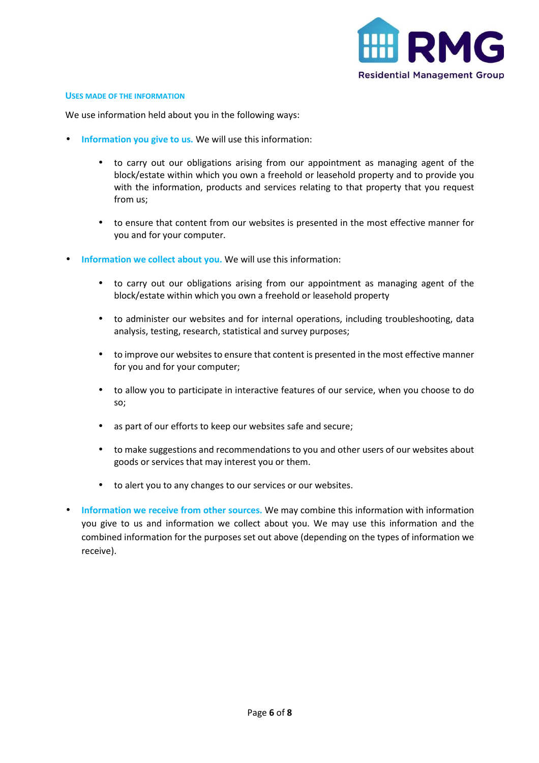

#### **USES MADE OF THE INFORMATION**

We use information held about you in the following ways:

- **Information you give to us.** We will use this information:
	- to carry out our obligations arising from our appointment as managing agent of the block/estate within which you own a freehold or leasehold property and to provide you with the information, products and services relating to that property that you request from us;
	- to ensure that content from our websites is presented in the most effective manner for you and for your computer.
- **Information we collect about you.** We will use this information:
	- to carry out our obligations arising from our appointment as managing agent of the block/estate within which you own a freehold or leasehold property
	- to administer our websites and for internal operations, including troubleshooting, data analysis, testing, research, statistical and survey purposes;
	- to improve our websites to ensure that content is presented in the most effective manner for you and for your computer;
	- to allow you to participate in interactive features of our service, when you choose to do so;
	- as part of our efforts to keep our websites safe and secure;
	- to make suggestions and recommendations to you and other users of our websites about goods or services that may interest you or them.
	- to alert you to any changes to our services or our websites.
- **Information we receive from other sources.** We may combine this information with information you give to us and information we collect about you. We may use this information and the combined information for the purposes set out above (depending on the types of information we receive).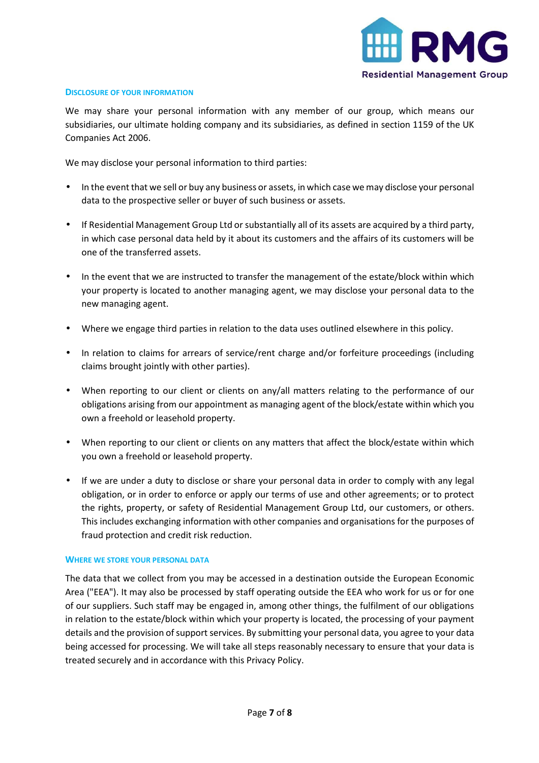

### **DISCLOSURE OF YOUR INFORMATION**

We may share your personal information with any member of our group, which means our subsidiaries, our ultimate holding company and its subsidiaries, as defined in section 1159 of the UK Companies Act 2006.

We may disclose your personal information to third parties:

- In the event that we sell or buy any business or assets, in which case we may disclose your personal data to the prospective seller or buyer of such business or assets.
- If Residential Management Group Ltd or substantially all of its assets are acquired by a third party, in which case personal data held by it about its customers and the affairs of its customers will be one of the transferred assets.
- In the event that we are instructed to transfer the management of the estate/block within which your property is located to another managing agent, we may disclose your personal data to the new managing agent.
- Where we engage third parties in relation to the data uses outlined elsewhere in this policy.
- In relation to claims for arrears of service/rent charge and/or forfeiture proceedings (including claims brought jointly with other parties).
- When reporting to our client or clients on any/all matters relating to the performance of our obligations arising from our appointment as managing agent of the block/estate within which you own a freehold or leasehold property.
- When reporting to our client or clients on any matters that affect the block/estate within which you own a freehold or leasehold property.
- If we are under a duty to disclose or share your personal data in order to comply with any legal obligation, or in order to enforce or apply our terms of use and other agreements; or to protect the rights, property, or safety of Residential Management Group Ltd, our customers, or others. This includes exchanging information with other companies and organisations for the purposes of fraud protection and credit risk reduction.

### **WHERE WE STORE YOUR PERSONAL DATA**

The data that we collect from you may be accessed in a destination outside the European Economic Area ("EEA"). It may also be processed by staff operating outside the EEA who work for us or for one of our suppliers. Such staff may be engaged in, among other things, the fulfilment of our obligations in relation to the estate/block within which your property is located, the processing of your payment details and the provision of support services. By submitting your personal data, you agree to your data being accessed for processing. We will take all steps reasonably necessary to ensure that your data is treated securely and in accordance with this Privacy Policy.